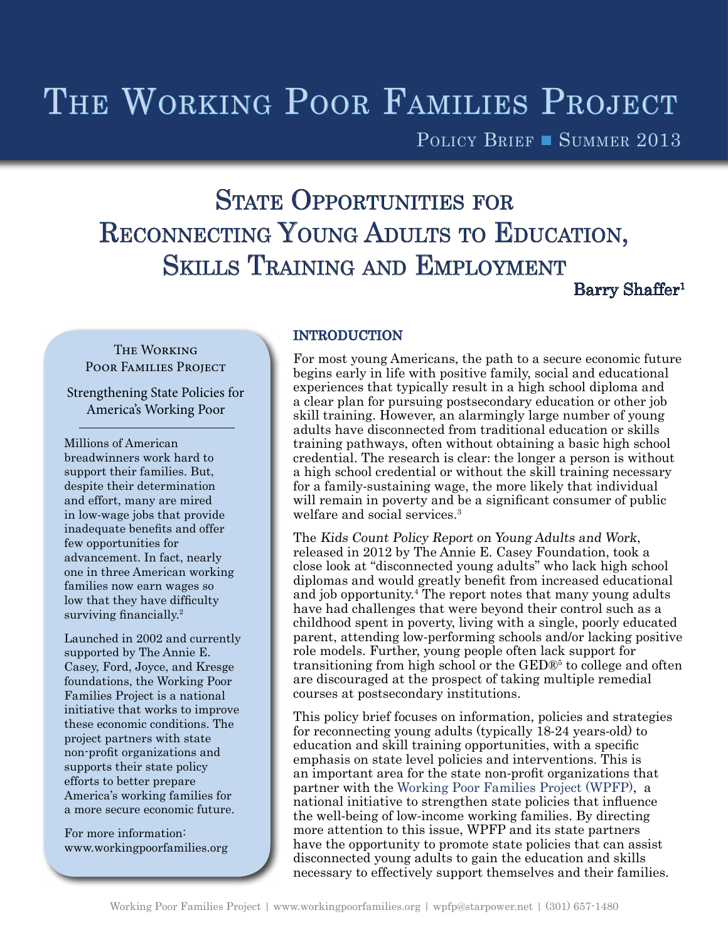# THE WORKING POOR FAMILIES PROJECT

POLICY BRIEF SUMMER 2013

# STATE OPPORTUNITIES FOR RECONNECTING YOUNG ADULTS TO EDUCATION, Skills Training and Employment

Barry Shaffer<sup>1</sup>

# **THE WORKING** Poor Families Project

Strengthening State Policies for America's Working Poor

Millions of American breadwinners work hard to support their families. But, despite their determination and effort, many are mired in low-wage jobs that provide inadequate benefits and offer few opportunities for advancement. In fact, nearly one in three American working families now earn wages so low that they have difficulty surviving financially.<sup>2</sup>

Launched in 2002 and currently supported by The Annie E. Casey, Ford, Joyce, and Kresge foundations, the Working Poor Families Project is a national initiative that works to improve these economic conditions. The project partners with state non-profit organizations and supports their state policy efforts to better prepare America's working families for a more secure economic future.

For more information: www.workingpoorfamilies.org

## INTRODUCTION

For most young Americans, the path to a secure economic future begins early in life with positive family, social and educational experiences that typically result in a high school diploma and a clear plan for pursuing postsecondary education or other job skill training. However, an alarmingly large number of young adults have disconnected from traditional education or skills training pathways, often without obtaining a basic high school credential. The research is clear: the longer a person is without a high school credential or without the skill training necessary for a family-sustaining wage, the more likely that individual will remain in poverty and be a significant consumer of public welfare and social services.<sup>3</sup>

The Kids Count Policy Report on Young Adults and Work, released in 2012 by The Annie E. Casey Foundation, took a close look at "disconnected young adults" who lack high school diplomas and would greatly benefit from increased educational and job opportunity.<sup>4</sup> The report notes that many young adults have had challenges that were beyond their control such as a childhood spent in poverty, living with a single, poorly educated parent, attending low-performing schools and/or lacking positive role models. Further, young people often lack support for transitioning from high school or the GED®<sup>5</sup> to college and often are discouraged at the prospect of taking multiple remedial courses at postsecondary institutions.

This policy brief focuses on information, policies and strategies for reconnecting young adults (typically 18-24 years-old) to education and skill training opportunities, with a specific emphasis on state level policies and interventions. This is an important area for the state non-profit organizations that partner with the [Working Poor Families Project \(WPFP\),](http://www.workingpoorfamilies.org) a national initiative to strengthen state policies that influence the well-being of low-income working families. By directing more attention to this issue, WPFP and its state partners have the opportunity to promote state policies that can assist disconnected young adults to gain the education and skills necessary to effectively support themselves and their families.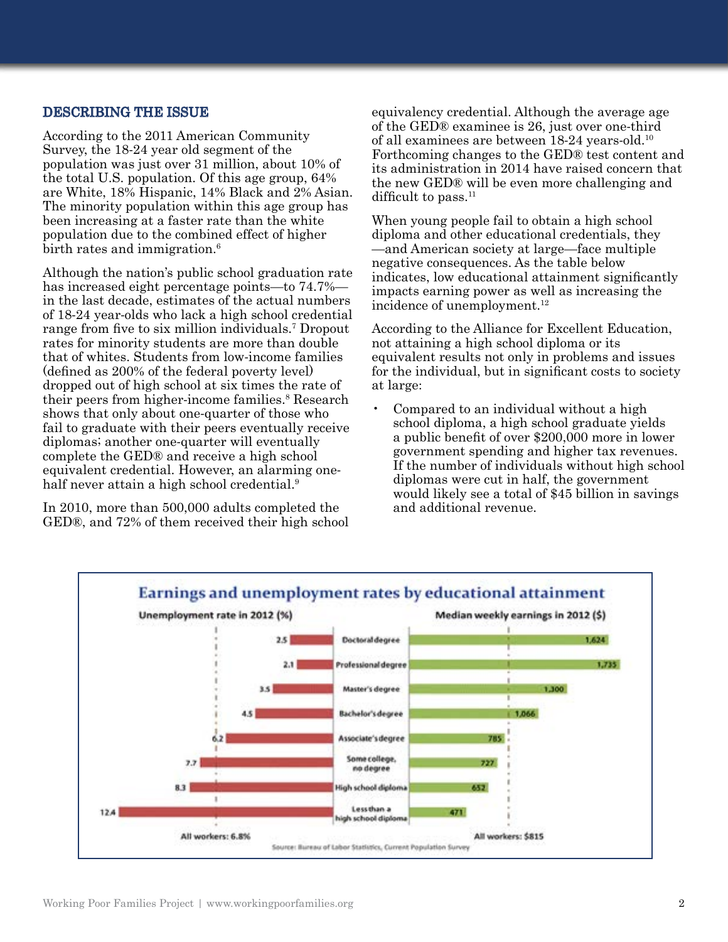### DESCRIBING THE ISSUE

According to the 2011 American Community Survey, the 18-24 year old segment of the population was just over 31 million, about 10% of the total U.S. population. Of this age group, 64% are White, 18% Hispanic, 14% Black and 2% Asian. The minority population within this age group has been increasing at a faster rate than the white population due to the combined effect of higher birth rates and immigration.<sup>6</sup>

Although the nation's public school graduation rate has increased eight percentage points—to 74.7% in the last decade, estimates of the actual numbers of 18-24 year-olds who lack a high school credential range from five to six million individuals.<sup>7</sup> Dropout rates for minority students are more than double that of whites. Students from low-income families (defined as 200% of the federal poverty level) dropped out of high school at six times the rate of their peers from higher-income families.<sup>8</sup> Research shows that only about one-quarter of those who fail to graduate with their peers eventually receive diplomas; another one-quarter will eventually complete the GED® and receive a high school equivalent credential. However, an alarming onehalf never attain a high school credential.<sup>9</sup>

In 2010, more than 500,000 adults completed the GED®, and 72% of them received their high school equivalency credential. Although the average age of the GED® examinee is 26, just over one-third of all examinees are between 18-24 years-old.10 Forthcoming changes to the GED® test content and its administration in 2014 have raised concern that the new GED® will be even more challenging and difficult to pass.<sup>11</sup>

When young people fail to obtain a high school diploma and other educational credentials, they —and American society at large—face multiple negative consequences. As the table below indicates, low educational attainment significantly impacts earning power as well as increasing the incidence of unemployment.<sup>12</sup>

According to the Alliance for Excellent Education, not attaining a high school diploma or its equivalent results not only in problems and issues for the individual, but in significant costs to society at large:

• Compared to an individual without a high school diploma, a high school graduate yields a public benefit of over \$200,000 more in lower government spending and higher tax revenues. If the number of individuals without high school diplomas were cut in half, the government would likely see a total of \$45 billion in savings and additional revenue.

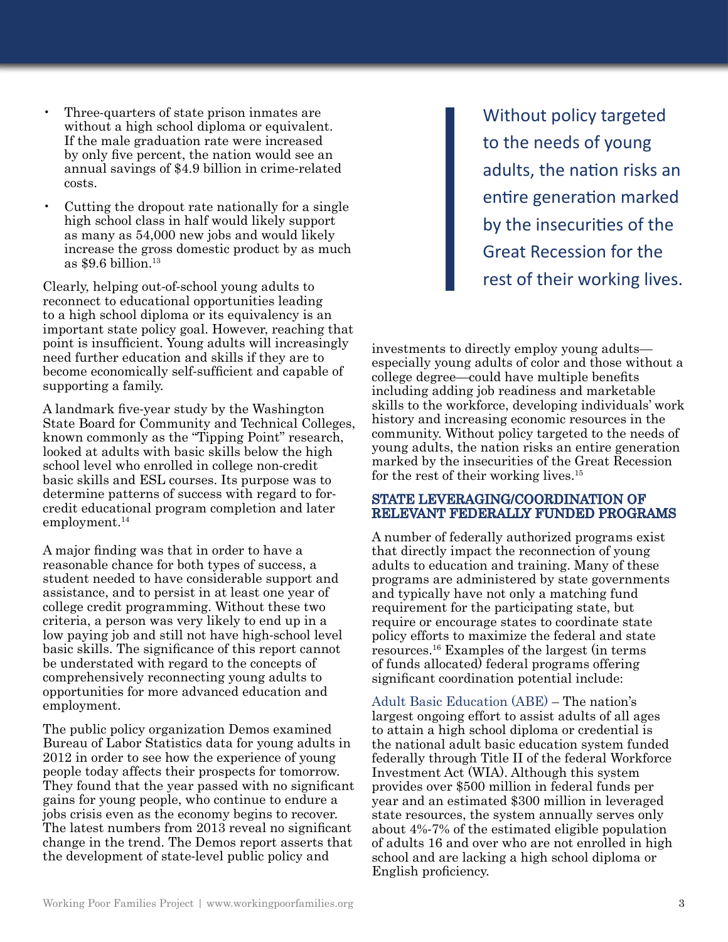- Three-quarters of state prison inmates are without a high school diploma or equivalent. If the male graduation rate were increased by only five percent, the nation would see an annual savings of \$4.9 billion in crime-related costs.
- Cutting the dropout rate nationally for a single high school class in half would likely support as many as 54,000 new jobs and would likely increase the gross domestic product by as much as  $$9.6$  billion.<sup>13</sup>

Clearly, helping out-of-school young adults to reconnect to educational opportunities leading to a high school diploma or its equivalency is an important state policy goal. However, reaching that point is insufficient. Young adults will increasingly need further education and skills if they are to become economically self-sufficient and capable of supporting a family.

A landmark five-year study by the Washington State Board for Community and Technical Colleges, known commonly as the "Tipping Point" research, looked at adults with basic skills below the high school level who enrolled in college non-credit basic skills and ESL courses. Its purpose was to determine patterns of success with regard to forcredit educational program completion and later employment.<sup>14</sup>

A major finding was that in order to have a reasonable chance for both types of success, a student needed to have considerable support and assistance, and to persist in at least one year of college credit programming. Without these two criteria, a person was very likely to end up in a low paying job and still not have high-school level basic skills. The significance of this report cannot be understated with regard to the concepts of comprehensively reconnecting young adults to opportunities for more advanced education and employment.

The public policy organization Demos examined Bureau of Labor Statistics data for young adults in 2012 in order to see how the experience of young people today affects their prospects for tomorrow. They found that the year passed with no significant gains for young people, who continue to endure a jobs crisis even as the economy begins to recover. The latest numbers from 2013 reveal no significant change in the trend. The Demos report asserts that the development of state-level public policy and

Without policy targeted to the needs of young adults, the nation risks an entire generation marked by the insecurities of the Great Recession for the rest of their working lives.

investments to directly employ young adults especially young adults of color and those without a college degree—could have multiple benefits including adding job readiness and marketable skills to the workforce, developing individuals' work history and increasing economic resources in the community. Without policy targeted to the needs of young adults, the nation risks an entire generation marked by the insecurities of the Great Recession for the rest of their working lives.15

#### STATE LEVERAGING/COORDINATION OF RELEVANT FEDERALLY FUNDED PROGRAMS

A number of federally authorized programs exist that directly impact the reconnection of young adults to education and training. Many of these programs are administered by state governments and typically have not only a matching fund requirement for the participating state, but require or encourage states to coordinate state policy efforts to maximize the federal and state resources.16 Examples of the largest (in terms of funds allocated) federal programs offering significant coordination potential include:

Adult Basic Education (ABE) – The nation's largest ongoing effort to assist adults of all ages to attain a high school diploma or credential is the national adult basic education system funded federally through Title II of the federal Workforce Investment Act (WIA). Although this system provides over \$500 million in federal funds per year and an estimated \$300 million in leveraged state resources, the system annually serves only about 4%-7% of the estimated eligible population of adults 16 and over who are not enrolled in high school and are lacking a high school diploma or English proficiency.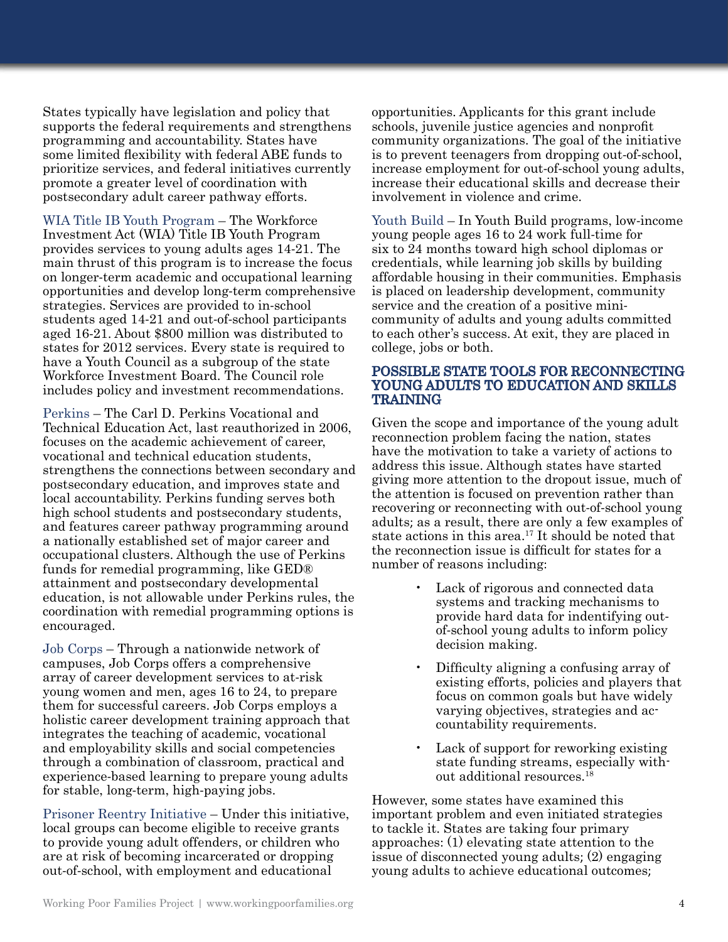States typically have legislation and policy that supports the federal requirements and strengthens programming and accountability. States have some limited flexibility with federal ABE funds to prioritize services, and federal initiatives currently promote a greater level of coordination with postsecondary adult career pathway efforts.

WIA Title IB Youth Program – The Workforce Investment Act (WIA) Title IB Youth Program provides services to young adults ages 14-21. The main thrust of this program is to increase the focus on longer-term academic and occupational learning opportunities and develop long-term comprehensive strategies. Services are provided to in-school students aged 14-21 and out-of-school participants aged 16-21. About \$800 million was distributed to states for 2012 services. Every state is required to have a Youth Council as a subgroup of the state Workforce Investment Board. The Council role includes policy and investment recommendations.

Perkins – The Carl D. Perkins Vocational and Technical Education Act, last reauthorized in 2006, focuses on the academic achievement of career, vocational and technical education students, strengthens the connections between secondary and postsecondary education, and improves state and local accountability. Perkins funding serves both high school students and postsecondary students, and features career pathway programming around a nationally established set of major career and occupational clusters. Although the use of Perkins funds for remedial programming, like GED® attainment and postsecondary developmental education, is not allowable under Perkins rules, the coordination with remedial programming options is encouraged.

Job Corps – Through a nationwide network of campuses, Job Corps offers a comprehensive array of career development services to at-risk young women and men, ages 16 to 24, to prepare them for successful careers. Job Corps employs a holistic career development training approach that integrates the teaching of academic, vocational and employability skills and social competencies through a combination of classroom, practical and experience-based learning to prepare young adults for stable, long-term, high-paying jobs.

Prisoner Reentry Initiative – Under this initiative, local groups can become eligible to receive grants to provide young adult offenders, or children who are at risk of becoming incarcerated or dropping out-of-school, with employment and educational

opportunities. Applicants for this grant include schools, juvenile justice agencies and nonprofit community organizations. The goal of the initiative is to prevent teenagers from dropping out-of-school, increase employment for out-of-school young adults, increase their educational skills and decrease their involvement in violence and crime.

Youth Build – In Youth Build programs, low-income young people ages 16 to 24 work full-time for six to 24 months toward high school diplomas or credentials, while learning job skills by building affordable housing in their communities. Emphasis is placed on leadership development, community service and the creation of a positive minicommunity of adults and young adults committed to each other's success. At exit, they are placed in college, jobs or both.

#### POSSIBLE STATE TOOLS FOR RECONNECTING YOUNG ADULTS TO EDUCATION AND SKILLS TRAINING

Given the scope and importance of the young adult reconnection problem facing the nation, states have the motivation to take a variety of actions to address this issue. Although states have started giving more attention to the dropout issue, much of the attention is focused on prevention rather than recovering or reconnecting with out-of-school young adults; as a result, there are only a few examples of state actions in this area.<sup>17</sup> It should be noted that the reconnection issue is difficult for states for a number of reasons including:

- Lack of rigorous and connected data systems and tracking mechanisms to provide hard data for indentifying outof-school young adults to inform policy decision making.
- Difficulty aligning a confusing array of existing efforts, policies and players that focus on common goals but have widely varying objectives, strategies and accountability requirements.
- Lack of support for reworking existing state funding streams, especially without additional resources.18

However, some states have examined this important problem and even initiated strategies to tackle it. States are taking four primary approaches: (1) elevating state attention to the issue of disconnected young adults; (2) engaging young adults to achieve educational outcomes;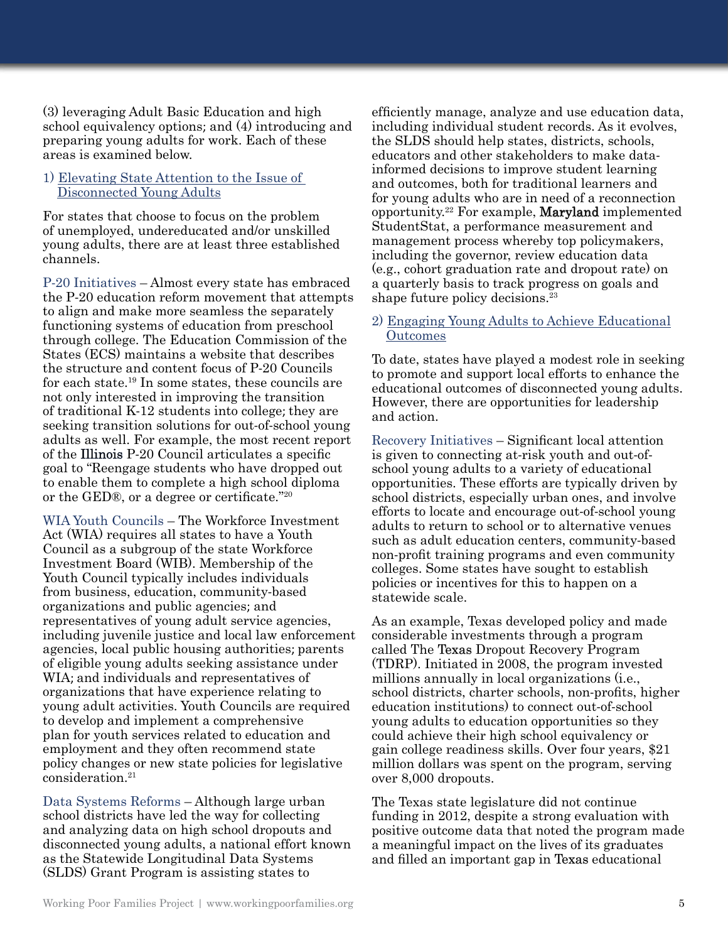(3) leveraging Adult Basic Education and high school equivalency options; and (4) introducing and preparing young adults for work. Each of these areas is examined below.

#### 1) Elevating State Attention to the Issue of Disconnected Young Adults

For states that choose to focus on the problem of unemployed, undereducated and/or unskilled young adults, there are at least three established channels.

P-20 Initiatives – Almost every state has embraced the P-20 education reform movement that attempts to align and make more seamless the separately functioning systems of education from preschool through college. The Education Commission of the States (ECS) maintains a website that describes the structure and content focus of P-20 Councils for each state.19 In some states, these councils are not only interested in improving the transition of traditional K-12 students into college; they are seeking transition solutions for out-of-school young adults as well. For example, the most recent report of the Illinois P-20 Council articulates a specific goal to "Reengage students who have dropped out to enable them to complete a high school diploma or the GED®, or a degree or certificate."<sup>20</sup>

WIA Youth Councils – The Workforce Investment Act (WIA) requires all states to have a Youth Council as a subgroup of the state Workforce Investment Board (WIB). Membership of the Youth Council typically includes individuals from business, education, community-based organizations and public agencies; and representatives of young adult service agencies, including juvenile justice and local law enforcement agencies, local public housing authorities; parents of eligible young adults seeking assistance under WIA; and individuals and representatives of organizations that have experience relating to young adult activities. Youth Councils are required to develop and implement a comprehensive plan for youth services related to education and employment and they often recommend state policy changes or new state policies for legislative consideration.21

Data Systems Reforms – Although large urban school districts have led the way for collecting and analyzing data on high school dropouts and disconnected young adults, a national effort known as the Statewide Longitudinal Data Systems (SLDS) Grant Program is assisting states to

efficiently manage, analyze and use education data, including individual student records. As it evolves, the SLDS should help states, districts, schools, educators and other stakeholders to make datainformed decisions to improve student learning and outcomes, both for traditional learners and for young adults who are in need of a reconnection opportunity.22 For example, Maryland implemented StudentStat, a performance measurement and management process whereby top policymakers, including the governor, review education data (e.g., cohort graduation rate and dropout rate) on a quarterly basis to track progress on goals and shape future policy decisions.<sup>23</sup>

### 2) Engaging Young Adults to Achieve Educational **Outcomes**

To date, states have played a modest role in seeking to promote and support local efforts to enhance the educational outcomes of disconnected young adults. However, there are opportunities for leadership and action.

Recovery Initiatives – Significant local attention is given to connecting at-risk youth and out-ofschool young adults to a variety of educational opportunities. These efforts are typically driven by school districts, especially urban ones, and involve efforts to locate and encourage out-of-school young adults to return to school or to alternative venues such as adult education centers, community-based non-profit training programs and even community colleges. Some states have sought to establish policies or incentives for this to happen on a statewide scale.

As an example, Texas developed policy and made considerable investments through a program called The Texas Dropout Recovery Program (TDRP). Initiated in 2008, the program invested millions annually in local organizations (i.e., school districts, charter schools, non-profits, higher education institutions) to connect out-of-school young adults to education opportunities so they could achieve their high school equivalency or gain college readiness skills. Over four years, \$21 million dollars was spent on the program, serving over 8,000 dropouts.

The Texas state legislature did not continue funding in 2012, despite a strong evaluation with positive outcome data that noted the program made a meaningful impact on the lives of its graduates and filled an important gap in Texas educational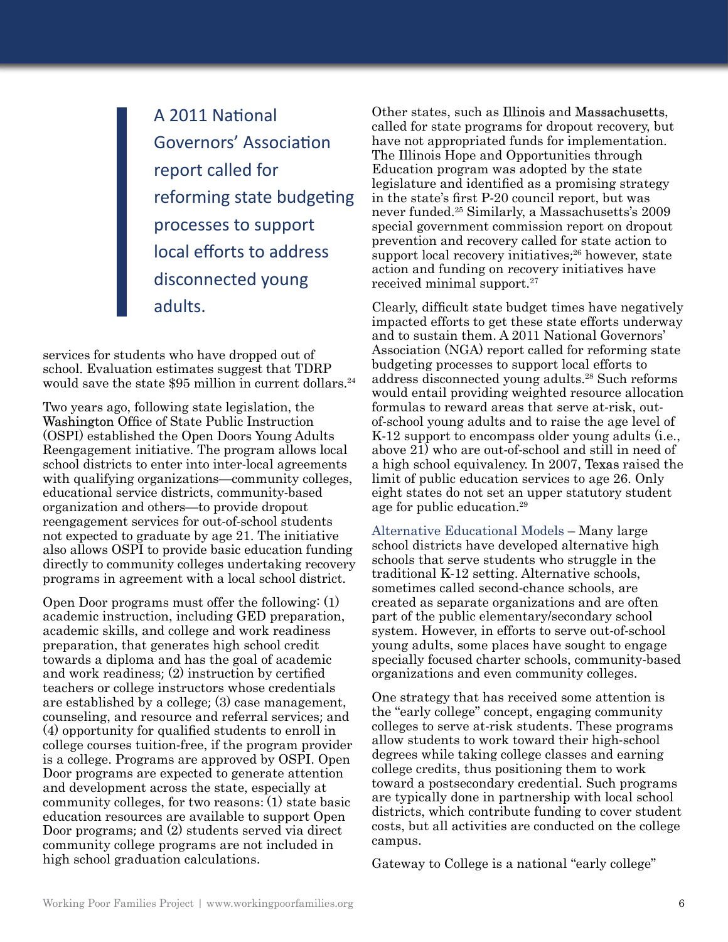A 2011 National Governors' Association report called for reforming state budgeting processes to support local efforts to address disconnected young adults.

services for students who have dropped out of school. Evaluation estimates suggest that TDRP would save the state \$95 million in current dollars.<sup>24</sup>

Two years ago, following state legislation, the Washington Office of State Public Instruction (OSPI) established the Open Doors Young Adults Reengagement initiative. The program allows local school districts to enter into inter-local agreements with qualifying organizations—community colleges, educational service districts, community-based organization and others—to provide dropout reengagement services for out-of-school students not expected to graduate by age 21. The initiative also allows OSPI to provide basic education funding directly to community colleges undertaking recovery programs in agreement with a local school district.

Open Door programs must offer the following: (1) academic instruction, including GED preparation, academic skills, and college and work readiness preparation, that generates high school credit towards a diploma and has the goal of academic and work readiness; (2) instruction by certified teachers or college instructors whose credentials are established by a college; (3) case management, counseling, and resource and referral services; and (4) opportunity for qualified students to enroll in college courses tuition-free, if the program provider is a college. Programs are approved by OSPI. Open Door programs are expected to generate attention and development across the state, especially at community colleges, for two reasons: (1) state basic education resources are available to support Open Door programs; and (2) students served via direct community college programs are not included in high school graduation calculations.

Other states, such as Illinois and Massachusetts, called for state programs for dropout recovery, but have not appropriated funds for implementation. The Illinois Hope and Opportunities through Education program was adopted by the state legislature and identified as a promising strategy in the state's first P-20 council report, but was never funded.25 Similarly, a Massachusetts's 2009 special government commission report on dropout prevention and recovery called for state action to support local recovery initiatives; 26 however, state action and funding on recovery initiatives have received minimal support.27

Clearly, difficult state budget times have negatively impacted efforts to get these state efforts underway and to sustain them. A 2011 National Governors' Association (NGA) report called for reforming state budgeting processes to support local efforts to address disconnected young adults.28 Such reforms would entail providing weighted resource allocation formulas to reward areas that serve at-risk, outof-school young adults and to raise the age level of K-12 support to encompass older young adults (i.e., above 21) who are out-of-school and still in need of a high school equivalency. In 2007, Texas raised the limit of public education services to age 26. Only eight states do not set an upper statutory student age for public education.29

Alternative Educational Models – Many large school districts have developed alternative high schools that serve students who struggle in the traditional K-12 setting. Alternative schools, sometimes called second-chance schools, are created as separate organizations and are often part of the public elementary/secondary school system. However, in efforts to serve out-of-school young adults, some places have sought to engage specially focused charter schools, community-based organizations and even community colleges.

One strategy that has received some attention is the "early college" concept, engaging community colleges to serve at-risk students. These programs allow students to work toward their high-school degrees while taking college classes and earning college credits, thus positioning them to work toward a postsecondary credential. Such programs are typically done in partnership with local school districts, which contribute funding to cover student costs, but all activities are conducted on the college campus.

Gateway to College is a national "early college"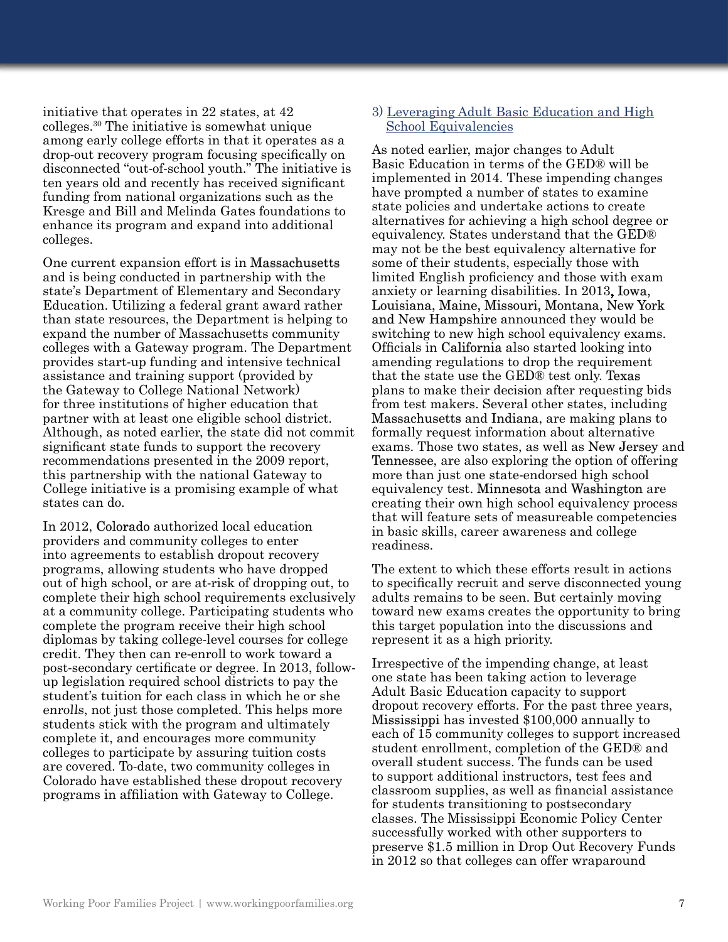initiative that operates in 22 states, at 42 colleges.30 The initiative is somewhat unique among early college efforts in that it operates as a drop-out recovery program focusing specifically on disconnected "out-of-school youth." The initiative is ten years old and recently has received significant funding from national organizations such as the Kresge and Bill and Melinda Gates foundations to enhance its program and expand into additional colleges.

One current expansion effort is in Massachusetts and is being conducted in partnership with the state's Department of Elementary and Secondary Education. Utilizing a federal grant award rather than state resources, the Department is helping to expand the number of Massachusetts community colleges with a Gateway program. The Department provides start-up funding and intensive technical assistance and training support (provided by the Gateway to College National Network) for three institutions of higher education that partner with at least one eligible school district. Although, as noted earlier, the state did not commit significant state funds to support the recovery recommendations presented in the 2009 report, this partnership with the national Gateway to College initiative is a promising example of what states can do.

In 2012, Colorado authorized local education providers and community colleges to enter into agreements to establish dropout recovery programs, allowing students who have dropped out of high school, or are at-risk of dropping out, to complete their high school requirements exclusively at a community college. Participating students who complete the program receive their high school diplomas by taking college-level courses for college credit. They then can re-enroll to work toward a post-secondary certificate or degree. In 2013, followup legislation required school districts to pay the student's tuition for each class in which he or she enrolls, not just those completed. This helps more students stick with the program and ultimately complete it, and encourages more community colleges to participate by assuring tuition costs are covered. To-date, two community colleges in Colorado have established these dropout recovery programs in affiliation with Gateway to College.

#### 3) Leveraging Adult Basic Education and High School Equivalencies

As noted earlier, major changes to Adult Basic Education in terms of the GED® will be implemented in 2014. These impending changes have prompted a number of states to examine state policies and undertake actions to create alternatives for achieving a high school degree or equivalency. States understand that the GED® may not be the best equivalency alternative for some of their students, especially those with limited English proficiency and those with exam anxiety or learning disabilities. In 2013, Iowa, Louisiana, Maine, Missouri, Montana, New York and New Hampshire announced they would be switching to new high school equivalency exams. Officials in California also started looking into amending regulations to drop the requirement that the state use the GED® test only. Texas plans to make their decision after requesting bids from test makers. Several other states, including Massachusetts and Indiana, are making plans to formally request information about alternative exams. Those two states, as well as **New Jersey** and Tennessee, are also exploring the option of offering more than just one state-endorsed high school equivalency test. Minnesota and Washington are creating their own high school equivalency process that will feature sets of measureable competencies in basic skills, career awareness and college readiness.

The extent to which these efforts result in actions to specifically recruit and serve disconnected young adults remains to be seen. But certainly moving toward new exams creates the opportunity to bring this target population into the discussions and represent it as a high priority.

Irrespective of the impending change, at least one state has been taking action to leverage Adult Basic Education capacity to support dropout recovery efforts. For the past three years, Mississippi has invested \$100,000 annually to each of 15 community colleges to support increased student enrollment, completion of the GED® and overall student success. The funds can be used to support additional instructors, test fees and classroom supplies, as well as financial assistance for students transitioning to postsecondary classes. The Mississippi Economic Policy Center successfully worked with other supporters to preserve \$1.5 million in Drop Out Recovery Funds in 2012 so that colleges can offer wraparound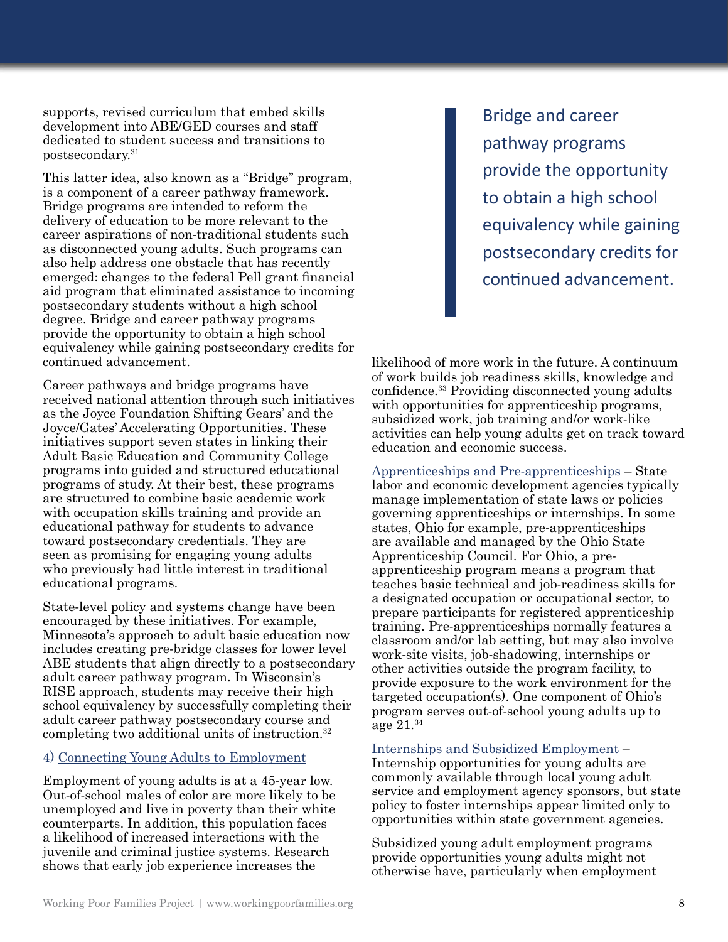supports, revised curriculum that embed skills development into ABE/GED courses and staff dedicated to student success and transitions to postsecondary.31

This latter idea, also known as a "Bridge" program, is a component of a career pathway framework. Bridge programs are intended to reform the delivery of education to be more relevant to the career aspirations of non-traditional students such as disconnected young adults. Such programs can also help address one obstacle that has recently emerged: changes to the federal Pell grant financial aid program that eliminated assistance to incoming postsecondary students without a high school degree. Bridge and career pathway programs provide the opportunity to obtain a high school equivalency while gaining postsecondary credits for continued advancement.

Career pathways and bridge programs have received national attention through such initiatives as the Joyce Foundation Shifting Gears' and the Joyce/Gates' Accelerating Opportunities. These initiatives support seven states in linking their Adult Basic Education and Community College programs into guided and structured educational programs of study. At their best, these programs are structured to combine basic academic work with occupation skills training and provide an educational pathway for students to advance toward postsecondary credentials. They are seen as promising for engaging young adults who previously had little interest in traditional educational programs.

State-level policy and systems change have been encouraged by these initiatives. For example, Minnesota's approach to adult basic education now includes creating pre-bridge classes for lower level ABE students that align directly to a postsecondary adult career pathway program. In Wisconsin's RISE approach, students may receive their high school equivalency by successfully completing their adult career pathway postsecondary course and completing two additional units of instruction.32

#### 4) Connecting Young Adults to Employment

Employment of young adults is at a 45-year low. Out-of-school males of color are more likely to be unemployed and live in poverty than their white counterparts. In addition, this population faces a likelihood of increased interactions with the juvenile and criminal justice systems. Research shows that early job experience increases the

Bridge and career pathway programs provide the opportunity to obtain a high school equivalency while gaining postsecondary credits for continued advancement.

likelihood of more work in the future. A continuum of work builds job readiness skills, knowledge and confidence.33 Providing disconnected young adults with opportunities for apprenticeship programs, subsidized work, job training and/or work-like activities can help young adults get on track toward education and economic success.

Apprenticeships and Pre-apprenticeships – State labor and economic development agencies typically manage implementation of state laws or policies governing apprenticeships or internships. In some states, Ohio for example, pre-apprenticeships are available and managed by the Ohio State Apprenticeship Council. For Ohio, a preapprenticeship program means a program that teaches basic technical and job-readiness skills for a designated occupation or occupational sector, to prepare participants for registered apprenticeship training. Pre-apprenticeships normally features a classroom and/or lab setting, but may also involve work-site visits, job-shadowing, internships or other activities outside the program facility, to provide exposure to the work environment for the targeted occupation(s). One component of Ohio's program serves out-of-school young adults up to age 21.34

Internships and Subsidized Employment –

Internship opportunities for young adults are commonly available through local young adult service and employment agency sponsors, but state policy to foster internships appear limited only to opportunities within state government agencies.

Subsidized young adult employment programs provide opportunities young adults might not otherwise have, particularly when employment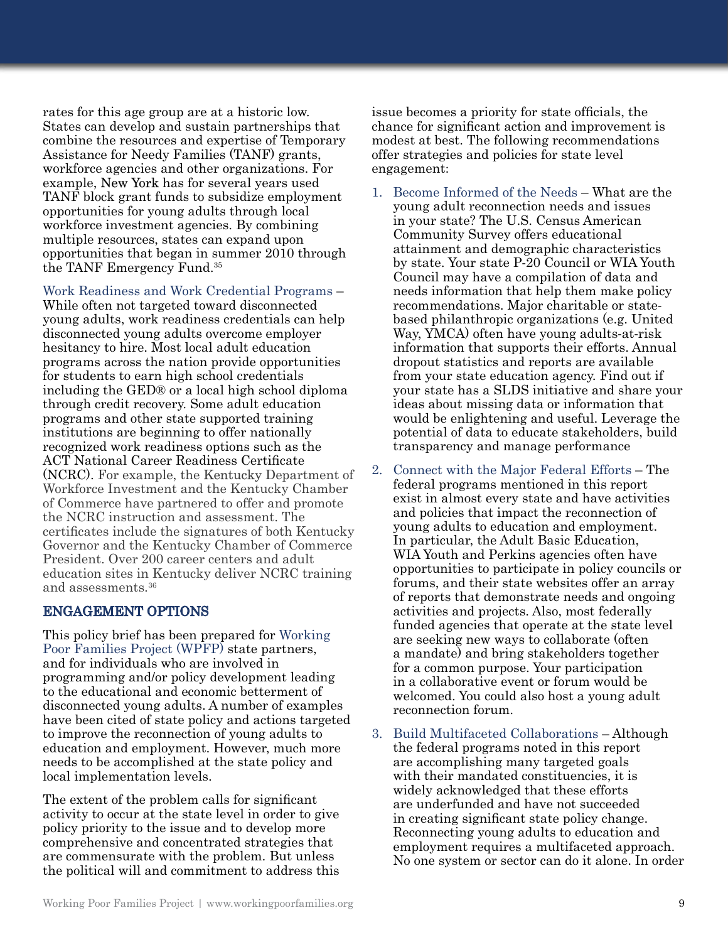rates for this age group are at a historic low. States can develop and sustain partnerships that combine the resources and expertise of Temporary Assistance for Needy Families (TANF) grants, workforce agencies and other organizations. For example, New York has for several years used TANF block grant funds to subsidize employment opportunities for young adults through local workforce investment agencies. By combining multiple resources, states can expand upon opportunities that began in summer 2010 through the TANF Emergency Fund.35

Work Readiness and Work Credential Programs – While often not targeted toward disconnected young adults, work readiness credentials can help disconnected young adults overcome employer hesitancy to hire. Most local adult education programs across the nation provide opportunities for students to earn high school credentials including the GED® or a local high school diploma through credit recovery. Some adult education programs and other state supported training institutions are beginning to offer nationally recognized work readiness options such as the ACT National Career Readiness Certificate (NCRC). For example, the Kentucky Department of Workforce Investment and the Kentucky Chamber of Commerce have partnered to offer and promote the NCRC instruction and assessment. The certificates include the signatures of both Kentucky Governor and the Kentucky Chamber of Commerce President. Over 200 career centers and adult education sites in Kentucky deliver NCRC training and assessments.36

#### ENGAGEMENT OPTIONS

This policy brief has been prepared for Working Poor Families Project (WPFP) state partners, and for individuals who are involved in programming and/or policy development leading to the educational and economic betterment of disconnected young adults. A number of examples have been cited of state policy and actions targeted to improve the reconnection of young adults to education and employment. However, much more needs to be accomplished at the state policy and local implementation levels.

The extent of the problem calls for significant activity to occur at the state level in order to give policy priority to the issue and to develop more comprehensive and concentrated strategies that are commensurate with the problem. But unless the political will and commitment to address this

issue becomes a priority for state officials, the chance for significant action and improvement is modest at best. The following recommendations offer strategies and policies for state level engagement:

- 1. Become Informed of the Needs What are the young adult reconnection needs and issues in your state? The U.S. Census American Community Survey offers educational attainment and demographic characteristics by state. Your state P-20 Council or WIA Youth Council may have a compilation of data and needs information that help them make policy recommendations. Major charitable or statebased philanthropic organizations (e.g. United Way, YMCA) often have young adults-at-risk information that supports their efforts. Annual dropout statistics and reports are available from your state education agency. Find out if your state has a SLDS initiative and share your ideas about missing data or information that would be enlightening and useful. Leverage the potential of data to educate stakeholders, build transparency and manage performance
- 2. Connect with the Major Federal Efforts The federal programs mentioned in this report exist in almost every state and have activities and policies that impact the reconnection of young adults to education and employment. In particular, the Adult Basic Education, WIA Youth and Perkins agencies often have opportunities to participate in policy councils or forums, and their state websites offer an array of reports that demonstrate needs and ongoing activities and projects. Also, most federally funded agencies that operate at the state level are seeking new ways to collaborate (often a mandate) and bring stakeholders together for a common purpose. Your participation in a collaborative event or forum would be welcomed. You could also host a young adult reconnection forum.
- 3. Build Multifaceted Collaborations Although the federal programs noted in this report are accomplishing many targeted goals with their mandated constituencies, it is widely acknowledged that these efforts are underfunded and have not succeeded in creating significant state policy change. Reconnecting young adults to education and employment requires a multifaceted approach. No one system or sector can do it alone. In order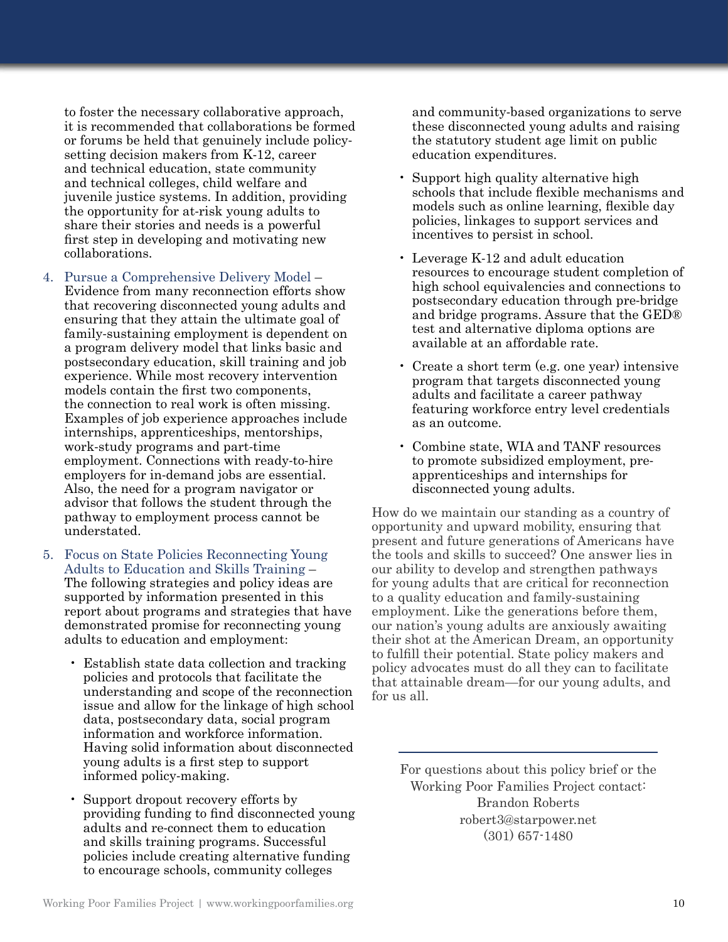to foster the necessary collaborative approach, it is recommended that collaborations be formed or forums be held that genuinely include policysetting decision makers from K-12, career and technical education, state community and technical colleges, child welfare and juvenile justice systems. In addition, providing the opportunity for at-risk young adults to share their stories and needs is a powerful first step in developing and motivating new collaborations.

- 4. Pursue a Comprehensive Delivery Model Evidence from many reconnection efforts show that recovering disconnected young adults and ensuring that they attain the ultimate goal of family-sustaining employment is dependent on a program delivery model that links basic and postsecondary education, skill training and job experience. While most recovery intervention models contain the first two components, the connection to real work is often missing. Examples of job experience approaches include internships, apprenticeships, mentorships, work-study programs and part-time employment. Connections with ready-to-hire employers for in-demand jobs are essential. Also, the need for a program navigator or advisor that follows the student through the pathway to employment process cannot be understated.
- 5. Focus on State Policies Reconnecting Young Adults to Education and Skills Training – The following strategies and policy ideas are supported by information presented in this report about programs and strategies that have demonstrated promise for reconnecting young adults to education and employment:
	- Establish state data collection and tracking policies and protocols that facilitate the understanding and scope of the reconnection issue and allow for the linkage of high school data, postsecondary data, social program information and workforce information. Having solid information about disconnected young adults is a first step to support informed policy-making.
	- Support dropout recovery efforts by providing funding to find disconnected young adults and re-connect them to education and skills training programs. Successful policies include creating alternative funding to encourage schools, community colleges

and community-based organizations to serve these disconnected young adults and raising the statutory student age limit on public education expenditures.

- Support high quality alternative high schools that include flexible mechanisms and models such as online learning, flexible day policies, linkages to support services and incentives to persist in school.
- Leverage K-12 and adult education resources to encourage student completion of high school equivalencies and connections to postsecondary education through pre-bridge and bridge programs. Assure that the GED® test and alternative diploma options are available at an affordable rate.
- Create a short term (e.g. one year) intensive program that targets disconnected young adults and facilitate a career pathway featuring workforce entry level credentials as an outcome.
- Combine state, WIA and TANF resources to promote subsidized employment, preapprenticeships and internships for disconnected young adults.

How do we maintain our standing as a country of opportunity and upward mobility, ensuring that present and future generations of Americans have the tools and skills to succeed? One answer lies in our ability to develop and strengthen pathways for young adults that are critical for reconnection to a quality education and family-sustaining employment. Like the generations before them, our nation's young adults are anxiously awaiting their shot at the American Dream, an opportunity to fulfill their potential. State policy makers and policy advocates must do all they can to facilitate that attainable dream—for our young adults, and for us all.

For questions about this policy brief or the Working Poor Families Project contact: Brandon Roberts robert3@starpower.net (301) 657-1480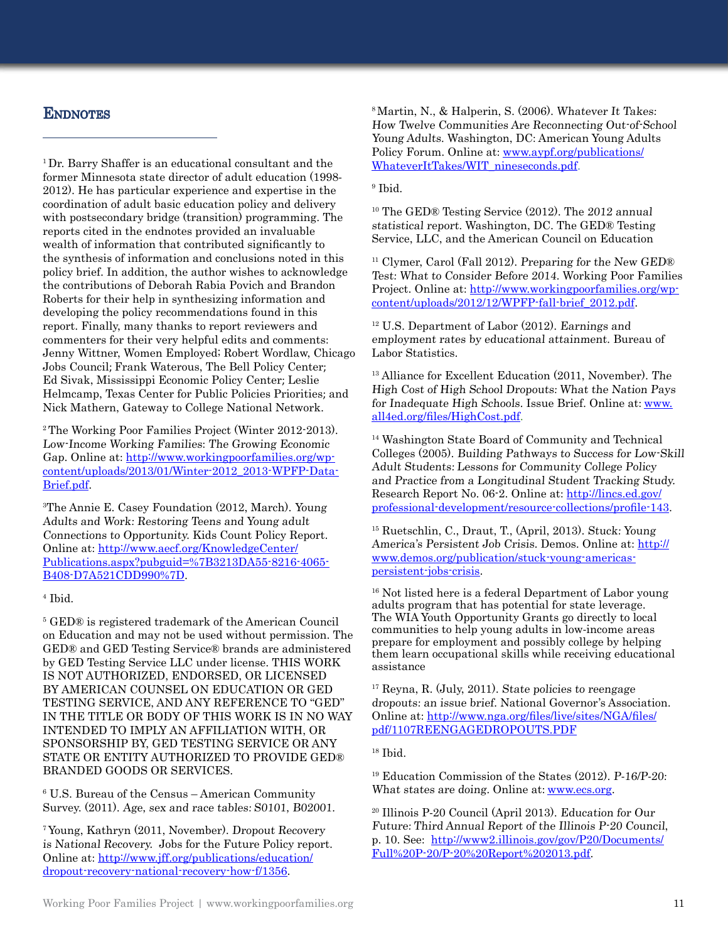### **ENDNOTES**

<sup>1</sup>Dr. Barry Shaffer is an educational consultant and the former Minnesota state director of adult education (1998- 2012). He has particular experience and expertise in the coordination of adult basic education policy and delivery with postsecondary bridge (transition) programming. The reports cited in the endnotes provided an invaluable wealth of information that contributed significantly to the synthesis of information and conclusions noted in this policy brief. In addition, the author wishes to acknowledge the contributions of Deborah Rabia Povich and Brandon Roberts for their help in synthesizing information and developing the policy recommendations found in this report. Finally, many thanks to report reviewers and commenters for their very helpful edits and comments: Jenny Wittner, Women Employed; Robert Wordlaw, Chicago Jobs Council; Frank Waterous, The Bell Policy Center; Ed Sivak, Mississippi Economic Policy Center; Leslie Helmcamp, Texas Center for Public Policies Priorities; and Nick Mathern, Gateway to College National Network.

2 The Working Poor Families Project (Winter 2012-2013). Low-Income Working Families: The Growing Economic Gap. Online at: http://www.workingpoorfamilies.org/wpcontent/uploads/2013/01/Winter-2012\_2013-WPFP-Data-Brief.pdf.

3 The Annie E. Casey Foundation (2012, March). Young Adults and Work: Restoring Teens and Young adult Connections to Opportunity. Kids Count Policy Report. Online at: [http://www.aecf.org/KnowledgeCenter/](http://www.aecf.org/KnowledgeCenter/Publications.aspx?pubguid=%7B3213DA55-8216-4065-B408-D7A521CDD990%7D) [Publications.aspx?pubguid=%7B3213DA55-8216-4065-](http://www.aecf.org/KnowledgeCenter/Publications.aspx?pubguid=%7B3213DA55-8216-4065-B408-D7A521CDD990%7D) [B408-D7A521CDD990%7D](http://www.aecf.org/KnowledgeCenter/Publications.aspx?pubguid=%7B3213DA55-8216-4065-B408-D7A521CDD990%7D).

#### 4 Ibid.

5 GED® is registered trademark of the American Council on Education and may not be used without permission. The GED® and GED Testing Service® brands are administered by GED Testing Service LLC under license. THIS WORK IS NOT AUTHORIZED, ENDORSED, OR LICENSED BY AMERICAN COUNSEL ON EDUCATION OR GED TESTING SERVICE, AND ANY REFERENCE TO "GED" IN THE TITLE OR BODY OF THIS WORK IS IN NO WAY INTENDED TO IMPLY AN AFFILIATION WITH, OR SPONSORSHIP BY, GED TESTING SERVICE OR ANY STATE OR ENTITY AUTHORIZED TO PROVIDE GED® BRANDED GOODS OR SERVICES.

6 U.S. Bureau of the Census – American Community Survey. (2011). Age, sex and race tables: S0101, B02001.

7 Young, Kathryn (2011, November). Dropout Recovery is National Recovery. Jobs for the Future Policy report. Online at: [http://www.jff.org/publications/education/](http://www.jff.org/publications/education/dropout-recovery-national-recovery-how-f/1356) [dropout-recovery-national-recovery-how-f/1356.](http://www.jff.org/publications/education/dropout-recovery-national-recovery-how-f/1356)

8 Martin, N., & Halperin, S. (2006). Whatever It Takes: How Twelve Communities Are Reconnecting Out-of-School Young Adults. Washington, DC: American Young Adults Policy Forum. Online at: [www.aypf.org/publications/](http://www.aypf.org/publications/WhateverItTakes/WIT_nineseconds.pdf) [WhateverItTakes/WIT\\_nineseconds.pdf.](http://www.aypf.org/publications/WhateverItTakes/WIT_nineseconds.pdf)

#### 9 Ibid.

10 The GED® Testing Service (2012). The 2012 annual statistical report. Washington, DC. The GED® Testing Service, LLC, and the American Council on Education

<sup>11</sup> Clymer, Carol (Fall 2012). Preparing for the New GED® Test: What to Consider Before 2014. Working Poor Families Project. Online at: [http://www.workingpoorfamilies.org/wp](http://www.workingpoorfamilies.org/wp-content/uploads/2012/12/WPFP-fall-brief_2012.pdf)[content/uploads/2012/12/WPFP-fall-brief\\_2012.pdf.](http://www.workingpoorfamilies.org/wp-content/uploads/2012/12/WPFP-fall-brief_2012.pdf)

12 U.S. Department of Labor (2012). Earnings and employment rates by educational attainment. Bureau of Labor Statistics.

13 Alliance for Excellent Education (2011, November). The High Cost of High School Dropouts: What the Nation Pays for Inadequate High Schools. Issue Brief. Online at: [www.](http://www.all4ed.org/files/HighCost.pdf) [all4ed.org/files/HighCost.pdf](http://www.all4ed.org/files/HighCost.pdf).

14 Washington State Board of Community and Technical Colleges (2005). Building Pathways to Success for Low-Skill Adult Students: Lessons for Community College Policy and Practice from a Longitudinal Student Tracking Study. Research Report No. 06-2. Online at: [http://lincs.ed.gov/](http://lincs.ed.gov/professional-development/resource-collections/profile-143) [professional-development/resource-collections/profile-143](http://lincs.ed.gov/professional-development/resource-collections/profile-143).

15 Ruetschlin, C., Draut, T., (April, 2013). Stuck: Young America's Persistent Job Crisis. Demos. Online at: [http://](http://www.demos.org/publication/stuck-young-americas-persistent-jobs-crisis) [www.demos.org/publication/stuck-young-americas](http://www.demos.org/publication/stuck-young-americas-persistent-jobs-crisis)[persistent-jobs-crisis.](http://www.demos.org/publication/stuck-young-americas-persistent-jobs-crisis)

16 Not listed here is a federal Department of Labor young adults program that has potential for state leverage. The WIA Youth Opportunity Grants go directly to local communities to help young adults in low-income areas prepare for employment and possibly college by helping them learn occupational skills while receiving educational assistance

17 Reyna, R. (July, 2011). State policies to reengage dropouts: an issue brief. National Governor's Association. Online at: [http://www.nga.org/files/live/sites/NGA/files/](http://www.nga.org/files/live/sites/NGA/files/pdf/1107REENGAGEDROPOUTS.PDF) [pdf/1107REENGAGEDROPOUTS.PDF](http://www.nga.org/files/live/sites/NGA/files/pdf/1107REENGAGEDROPOUTS.PDF)

#### 18 Ibid.

<sup>19</sup> Education Commission of the States  $(2012)$ . P-16/P-20: What states are doing. Online at: **www.ecs.org**.

20 Illinois P-20 Council (April 2013). Education for Our Future: Third Annual Report of the Illinois P-20 Council, p. 10. See: [http://www2.illinois.gov/gov/P20/Documents/](http://www2.illinois.gov/gov/P20/Documents/Full%20P-20/P-20%20Report%202013.pdf) [Full%20P-20/P-20%20Report%202013.pdf.](http://www2.illinois.gov/gov/P20/Documents/Full%20P-20/P-20%20Report%202013.pdf)